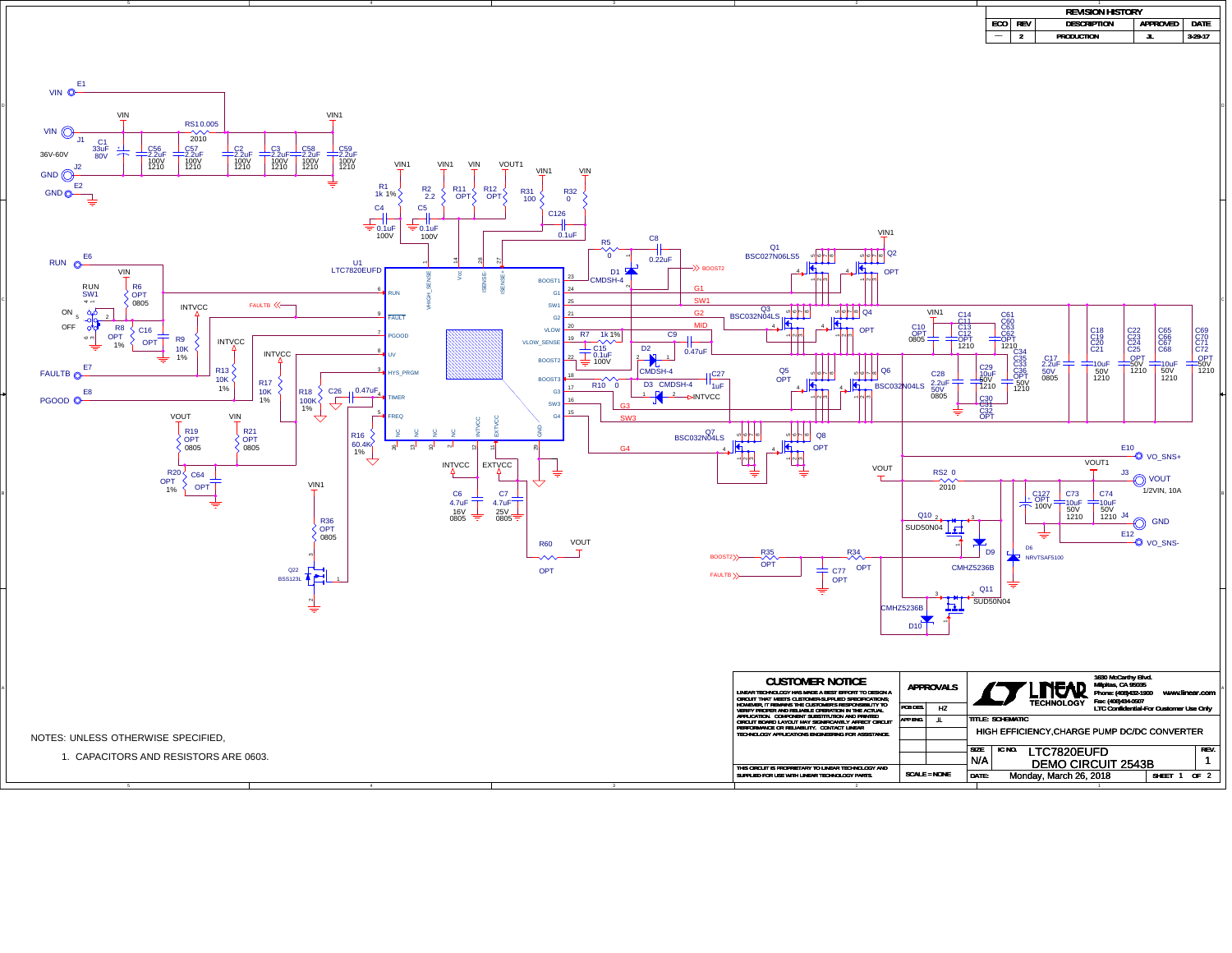